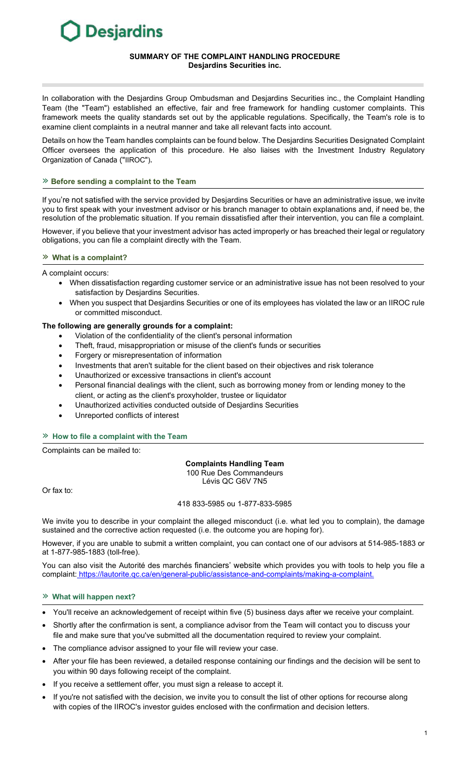# **Desjardins**

## **SUMMARY OF THE COMPLAINT HANDLING PROCEDURE Desjardins Securities inc.**

In collaboration with the Desjardins Group Ombudsman and Desjardins Securities inc., the Complaint Handling Team (the "Team") established an effective, fair and free framework for handling customer complaints. This framework meets the quality standards set out by the applicable regulations. Specifically, the Team's role is to examine client complaints in a neutral manner and take all relevant facts into account.

Details on how the Team handles complaints can be found below. The Desjardins Securities Designated Complaint Officer oversees the application of this procedure. He also liaises with the Investment Industry Regulatory Organization of Canada ("IIROC").

## » **Before sending a complaint to the Team**

If you're not satisfied with the service provided by Desjardins Securities or have an administrative issue, we invite you to first speak with your investment advisor or his branch manager to obtain explanations and, if need be, the resolution of the problematic situation. If you remain dissatisfied after their intervention, you can file a complaint.

However, if you believe that your investment advisor has acted improperly or has breached their legal or regulatory obligations, you can file a complaint directly with the Team.

#### » **What is a complaint?**

A complaint occurs:

- When dissatisfaction regarding customer service or an administrative issue has not been resolved to your satisfaction by Desjardins Securities.
- When you suspect that Desjardins Securities or one of its employees has violated the law or an IIROC rule or committed misconduct.

# **The following are generally grounds for a complaint:**

- Violation of the confidentiality of the client's personal information
- Theft, fraud, misappropriation or misuse of the client's funds or securities
- Forgery or misrepresentation of information
- Investments that aren't suitable for the client based on their objectives and risk tolerance
- Unauthorized or excessive transactions in client's account
- Personal financial dealings with the client, such as borrowing money from or lending money to the client, or acting as the client's proxyholder, trustee or liquidator
- Unauthorized activities conducted outside of Desjardins Securities
- Unreported conflicts of interest

# » **How to file a complaint with the Team**

Complaints can be mailed to:

#### **Complaints Handling Team**  100 Rue Des Commandeurs Lévis QC G6V 7N5

Or fax to:

## 418 833-5985 ou 1-877-833-5985

We invite you to describe in your complaint the alleged misconduct (i.e. what led you to complain), the damage sustained and the corrective action requested (i.e. the outcome you are hoping for).

However, if you are unable to submit a written complaint, you can contact one of our advisors at 514-985-1883 or at 1-877-985-1883 (toll-free).

You can also visit the Autorité des marchés financiers' website which provides you with tools to help you file a complaint: [https://lautorite.qc.ca/en/general-public/a](https://assistance-and-complaints/making-a-complaint.)ssistance-and-complaints/making-a-complaint.

# » **What will happen next?**

- You'll receive an acknowledgement of receipt within five (5) business days after we receive your complaint.
- Shortly after the confirmation is sent, a compliance advisor from the Team will contact you to discuss your file and make sure that you've submitted all the documentation required to review your complaint.
- The compliance advisor assigned to your file will review your case.
- After your file has been reviewed, a detailed response containing our findings and the decision will be sent to you within 90 days following receipt of the complaint.
- If you receive a settlement offer, you must sign a release to accept it.
- If you're not satisfied with the decision, we invite you to consult the list of other options for recourse along with copies of the IIROC's investor guides enclosed with the confirmation and decision letters.